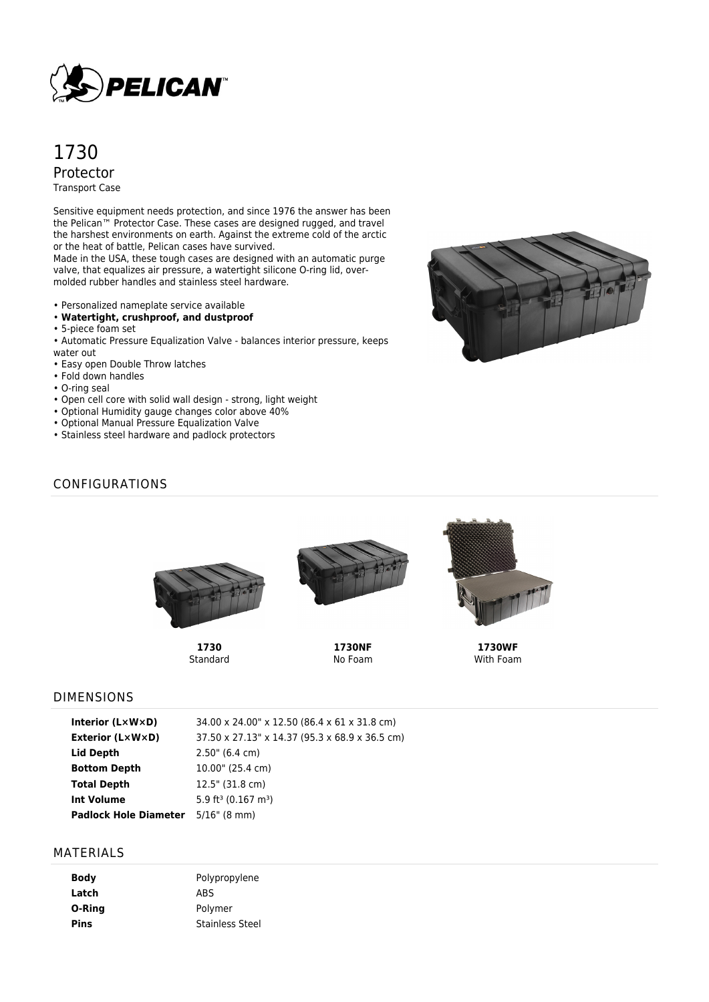

# 1730 Protector Transport Case

Sensitive equipment needs protection, and since 1976 the answer has been the Pelican™ Protector Case. These cases are designed rugged, and travel the harshest environments on earth. Against the extreme cold of the arctic or the heat of battle, Pelican cases have survived.

Made in the USA, these tough cases are designed with an automatic purge valve, that equalizes air pressure, a watertight silicone O-ring lid, overmolded rubber handles and stainless steel hardware.

- Personalized nameplate service available
- **Watertight, crushproof, and dustproof**
- 5-piece foam set
- Automatic Pressure Equalization Valve balances interior pressure, keeps water out
- Easy open Double Throw latches
- Fold down handles
- O-ring seal
- Open cell core with solid wall design strong, light weight
- Optional Humidity gauge changes color above 40%
- Optional Manual Pressure Equalization Valve
- Stainless steel hardware and padlock protectors



## CONFIGURATIONS



**1730** Standard



**1730NF** No Foam



**1730WF** With Foam

#### DIMENSIONS

| Interior $(L \times W \times D)$ | 34.00 x 24.00" x 12.50 (86.4 x 61 x 31.8 cm)   |
|----------------------------------|------------------------------------------------|
| <b>Exterior (L×W×D)</b>          | 37.50 x 27.13" x 14.37 (95.3 x 68.9 x 36.5 cm) |
| Lid Depth                        | $2.50$ " (6.4 cm)                              |
| <b>Bottom Depth</b>              | 10.00" (25.4 cm)                               |
| <b>Total Depth</b>               | 12.5" (31.8 cm)                                |
| <b>Int Volume</b>                | 5.9 ft <sup>3</sup> (0.167 m <sup>3</sup> )    |
| <b>Padlock Hole Diameter</b>     | $5/16$ " (8 mm)                                |

#### MATERIALS

| Body   | Polypropylene          |
|--------|------------------------|
| Latch  | <b>ABS</b>             |
| O-Ring | Polymer                |
| Pins   | <b>Stainless Steel</b> |